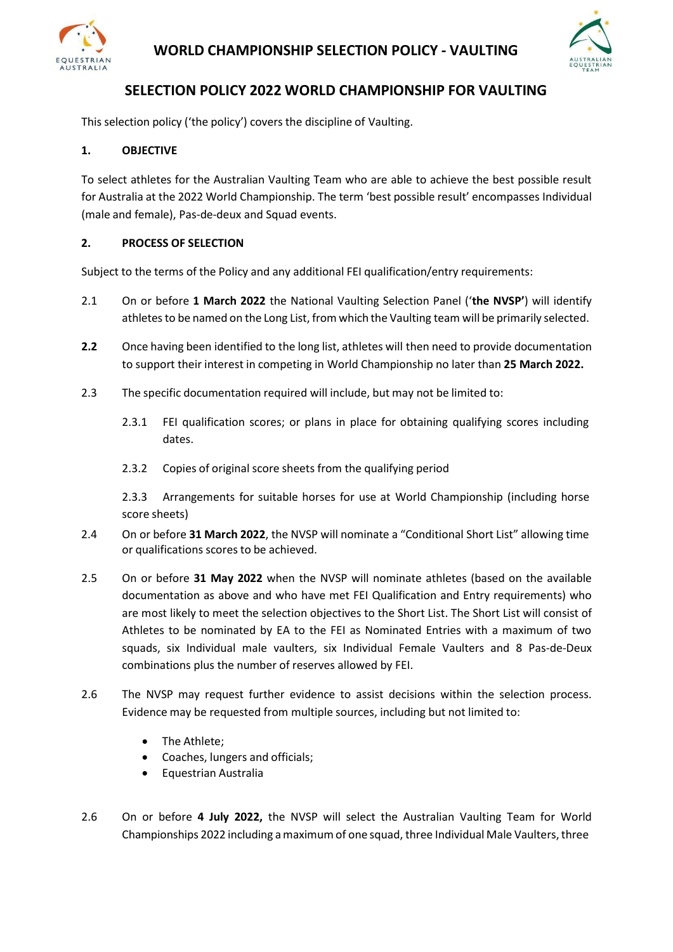

## **WORLD CHAMPIONSHIP SELECTION POLICY - VAULTING**



# **SELECTION POLICY 2022 WORLD CHAMPIONSHIP FOR VAULTING**

This selection policy ('the policy') covers the discipline of Vaulting.

#### **1. OBJECTIVE**

To select athletes for the Australian Vaulting Team who are able to achieve the best possible result for Australia at the 2022 World Championship. The term 'best possible result' encompasses Individual (male and female), Pas-de-deux and Squad events.

#### **2. PROCESS OF SELECTION**

Subject to the terms of the Policy and any additional FEI qualification/entry requirements:

- 2.1 On or before **1 March 2022** the National Vaulting Selection Panel ('**the NVSP'**) will identify athletes to be named on the Long List, from which the Vaulting team will be primarily selected.
- **2.2** Once having been identified to the long list, athletes will then need to provide documentation to support their interest in competing in World Championship no later than **25 March 2022.**
- 2.3 The specific documentation required will include, but may not be limited to:
	- 2.3.1 FEI qualification scores; or plans in place for obtaining qualifying scores including dates.
	- 2.3.2 Copies of original score sheets from the qualifying period

2.3.3 Arrangements for suitable horses for use at World Championship (including horse score sheets)

- 2.4 On or before **31 March 2022**, the NVSP will nominate a "Conditional Short List" allowing time or qualifications scores to be achieved.
- 2.5 On or before **31 May 2022** when the NVSP will nominate athletes (based on the available documentation as above and who have met FEI Qualification and Entry requirements) who are most likely to meet the selection objectives to the Short List. The Short List will consist of Athletes to be nominated by EA to the FEI as Nominated Entries with a maximum of two squads, six Individual male vaulters, six Individual Female Vaulters and 8 Pas-de-Deux combinations plus the number of reserves allowed by FEI.
- 2.6 The NVSP may request further evidence to assist decisions within the selection process. Evidence may be requested from multiple sources, including but not limited to:
	- The Athlete;
	- Coaches, lungers and officials;
	- Equestrian Australia
- 2.6 On or before **4 July 2022,** the NVSP will select the Australian Vaulting Team for World Championships 2022 including a maximum of one squad, three Individual Male Vaulters, three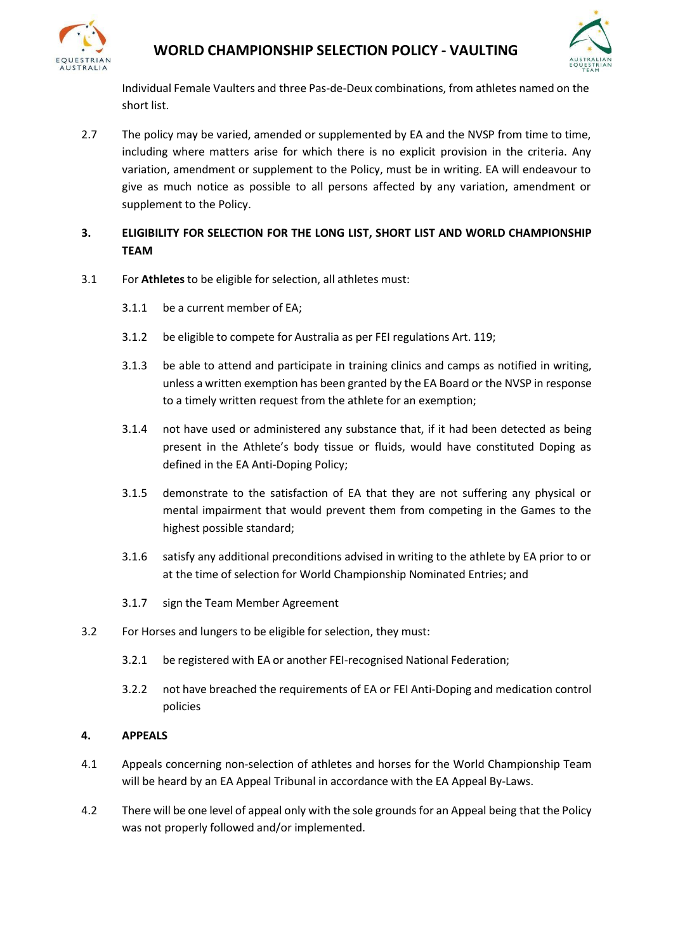



Individual Female Vaulters and three Pas-de-Deux combinations, from athletes named on the short list.

- 2.7 The policy may be varied, amended or supplemented by EA and the NVSP from time to time, including where matters arise for which there is no explicit provision in the criteria. Any variation, amendment or supplement to the Policy, must be in writing. EA will endeavour to give as much notice as possible to all persons affected by any variation, amendment or supplement to the Policy.
- **3. ELIGIBILITY FOR SELECTION FOR THE LONG LIST, SHORT LIST AND WORLD CHAMPIONSHIP TEAM**
- 3.1 For **Athletes** to be eligible for selection, all athletes must:
	- 3.1.1 be a current member of EA;
	- 3.1.2 be eligible to compete for Australia as per FEI regulations Art. 119;
	- 3.1.3 be able to attend and participate in training clinics and camps as notified in writing, unless a written exemption has been granted by the EA Board or the NVSP in response to a timely written request from the athlete for an exemption;
	- 3.1.4 not have used or administered any substance that, if it had been detected as being present in the Athlete's body tissue or fluids, would have constituted Doping as defined in the EA Anti-Doping Policy;
	- 3.1.5 demonstrate to the satisfaction of EA that they are not suffering any physical or mental impairment that would prevent them from competing in the Games to the highest possible standard;
	- 3.1.6 satisfy any additional preconditions advised in writing to the athlete by EA prior to or at the time of selection for World Championship Nominated Entries; and
	- 3.1.7 sign the Team Member Agreement
- 3.2 For Horses and lungers to be eligible for selection, they must:
	- 3.2.1 be registered with EA or another FEI-recognised National Federation;
	- 3.2.2 not have breached the requirements of EA or FEI Anti-Doping and medication control policies

#### **4. APPEALS**

- 4.1 Appeals concerning non-selection of athletes and horses for the World Championship Team will be heard by an EA Appeal Tribunal in accordance with the EA Appeal By-Laws.
- 4.2 There will be one level of appeal only with the sole grounds for an Appeal being that the Policy was not properly followed and/or implemented.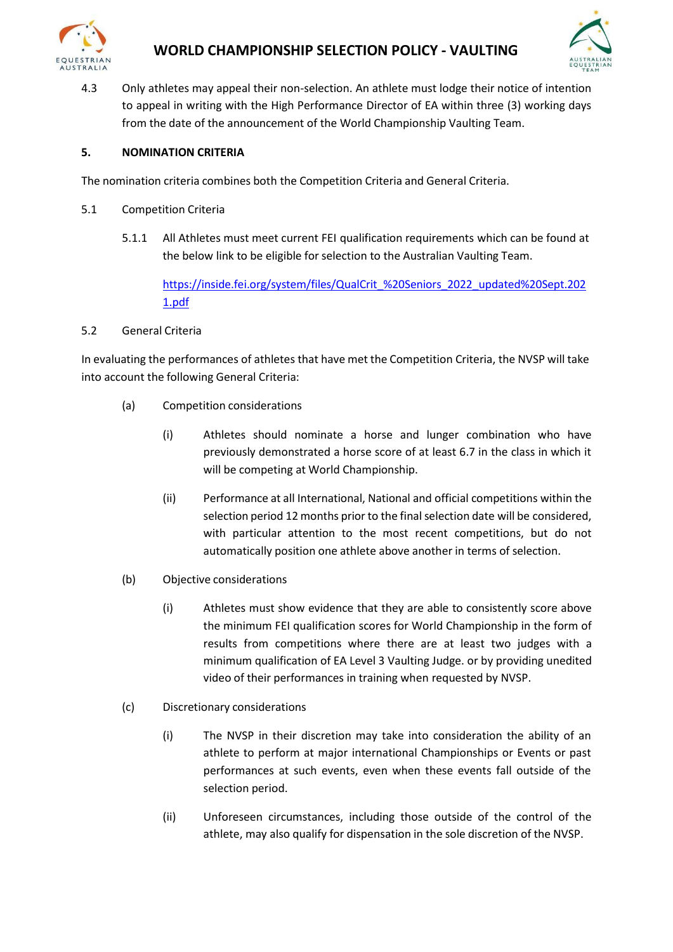



4.3 Only athletes may appeal their non-selection. An athlete must lodge their notice of intention to appeal in writing with the High Performance Director of EA within three (3) working days from the date of the announcement of the World Championship Vaulting Team.

#### **5. NOMINATION CRITERIA**

The nomination criteria combines both the Competition Criteria and General Criteria.

- 5.1 Competition Criteria
	- 5.1.1 All Athletes must meet current FEI qualification requirements which can be found at the below link to be eligible for selection to the Australian Vaulting Team.

[https://inside.fei.org/system/files/QualCrit\\_%20Seniors\\_2022\\_updated%20Sept.202](https://inside.fei.org/system/files/QualCrit_%20Seniors_2022_updated%20Sept.2021.pdf) [1.pdf](https://inside.fei.org/system/files/QualCrit_%20Seniors_2022_updated%20Sept.2021.pdf)

#### 5.2 General Criteria

In evaluating the performances of athletes that have met the Competition Criteria, the NVSP will take into account the following General Criteria:

- (a) Competition considerations
	- (i) Athletes should nominate a horse and lunger combination who have previously demonstrated a horse score of at least 6.7 in the class in which it will be competing at World Championship.
	- (ii) Performance at all International, National and official competitions within the selection period 12 months prior to the final selection date will be considered, with particular attention to the most recent competitions, but do not automatically position one athlete above another in terms of selection.
- (b) Objective considerations
	- (i) Athletes must show evidence that they are able to consistently score above the minimum FEI qualification scores for World Championship in the form of results from competitions where there are at least two judges with a minimum qualification of EA Level 3 Vaulting Judge. or by providing unedited video of their performances in training when requested by NVSP.
- (c) Discretionary considerations
	- (i) The NVSP in their discretion may take into consideration the ability of an athlete to perform at major international Championships or Events or past performances at such events, even when these events fall outside of the selection period.
	- (ii) Unforeseen circumstances, including those outside of the control of the athlete, may also qualify for dispensation in the sole discretion of the NVSP.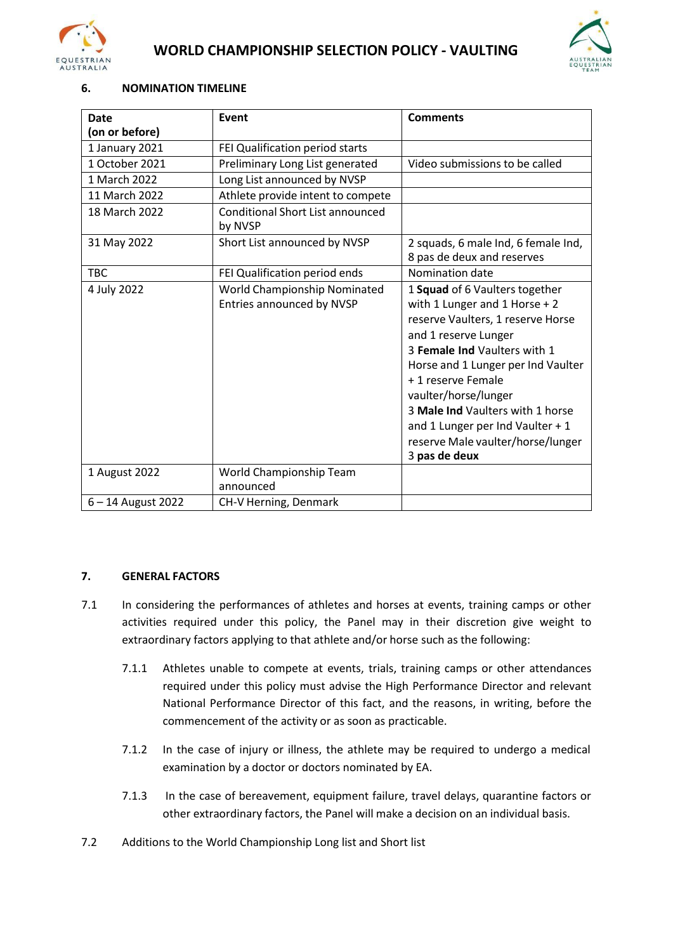



#### **6. NOMINATION TIMELINE**

| <b>Date</b>        | Event                                                     | <b>Comments</b>                                                                                                                                                                                                                                                                                                                                                                |
|--------------------|-----------------------------------------------------------|--------------------------------------------------------------------------------------------------------------------------------------------------------------------------------------------------------------------------------------------------------------------------------------------------------------------------------------------------------------------------------|
| (on or before)     |                                                           |                                                                                                                                                                                                                                                                                                                                                                                |
| 1 January 2021     | FEI Qualification period starts                           |                                                                                                                                                                                                                                                                                                                                                                                |
| 1 October 2021     | Preliminary Long List generated                           | Video submissions to be called                                                                                                                                                                                                                                                                                                                                                 |
| 1 March 2022       | Long List announced by NVSP                               |                                                                                                                                                                                                                                                                                                                                                                                |
| 11 March 2022      | Athlete provide intent to compete                         |                                                                                                                                                                                                                                                                                                                                                                                |
| 18 March 2022      | <b>Conditional Short List announced</b><br>by NVSP        |                                                                                                                                                                                                                                                                                                                                                                                |
| 31 May 2022        | Short List announced by NVSP                              | 2 squads, 6 male Ind, 6 female Ind,<br>8 pas de deux and reserves                                                                                                                                                                                                                                                                                                              |
| <b>TBC</b>         | FEI Qualification period ends                             | Nomination date                                                                                                                                                                                                                                                                                                                                                                |
| 4 July 2022        | World Championship Nominated<br>Entries announced by NVSP | 1 Squad of 6 Vaulters together<br>with 1 Lunger and 1 Horse + 2<br>reserve Vaulters, 1 reserve Horse<br>and 1 reserve Lunger<br>3 Female Ind Vaulters with 1<br>Horse and 1 Lunger per Ind Vaulter<br>+ 1 reserve Female<br>vaulter/horse/lunger<br>3 Male Ind Vaulters with 1 horse<br>and 1 Lunger per Ind Vaulter + 1<br>reserve Male vaulter/horse/lunger<br>3 pas de deux |
| 1 August 2022      | World Championship Team                                   |                                                                                                                                                                                                                                                                                                                                                                                |
|                    | announced                                                 |                                                                                                                                                                                                                                                                                                                                                                                |
| 6 - 14 August 2022 | CH-V Herning, Denmark                                     |                                                                                                                                                                                                                                                                                                                                                                                |

#### **7. GENERAL FACTORS**

- 7.1 In considering the performances of athletes and horses at events, training camps or other activities required under this policy, the Panel may in their discretion give weight to extraordinary factors applying to that athlete and/or horse such as the following:
	- 7.1.1 Athletes unable to compete at events, trials, training camps or other attendances required under this policy must advise the High Performance Director and relevant National Performance Director of this fact, and the reasons, in writing, before the commencement of the activity or as soon as practicable.
	- 7.1.2 In the case of injury or illness, the athlete may be required to undergo a medical examination by a doctor or doctors nominated by EA.
	- 7.1.3 In the case of bereavement, equipment failure, travel delays, quarantine factors or other extraordinary factors, the Panel will make a decision on an individual basis.
- 7.2 Additions to the World Championship Long list and Short list